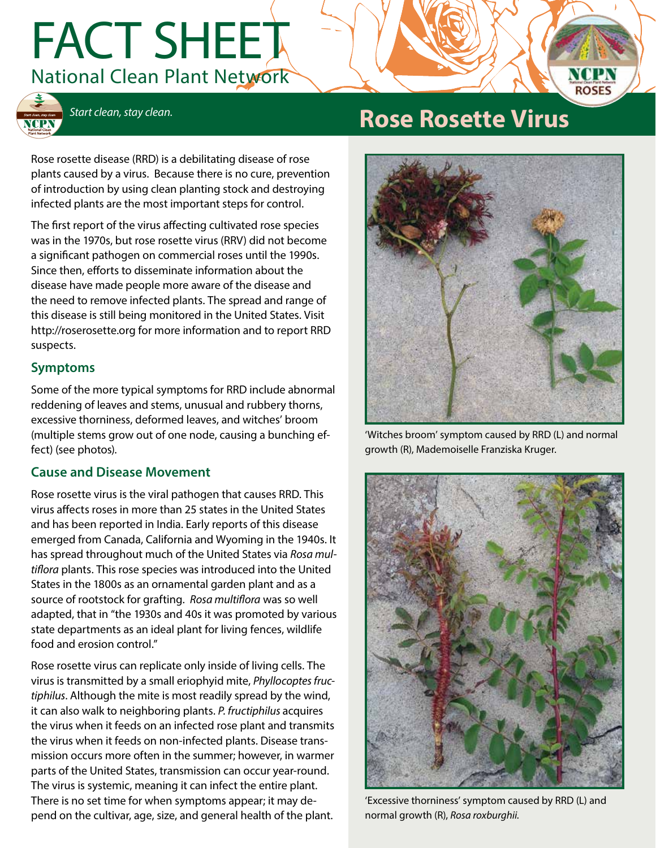# FACT SHEET National Clean Plant Network



## *Start clean, stay clean.* **Rose Rosette Virus**

Rose rosette disease (RRD) is a debilitating disease of rose plants caused by a virus. Because there is no cure, prevention of introduction by using clean planting stock and destroying infected plants are the most important steps for control.

The first report of the virus affecting cultivated rose species was in the 1970s, but rose rosette virus (RRV) did not become a significant pathogen on commercial roses until the 1990s. Since then, efforts to disseminate information about the disease have made people more aware of the disease and the need to remove infected plants. The spread and range of this disease is still being monitored in the United States. Visit http://roserosette.org for more information and to report RRD suspects.

#### **Symptoms**

Some of the more typical symptoms for RRD include abnormal reddening of leaves and stems, unusual and rubbery thorns, excessive thorniness, deformed leaves, and witches' broom (multiple stems grow out of one node, causing a bunching effect) (see photos).

#### **Cause and Disease Movement**

Rose rosette virus is the viral pathogen that causes RRD. This virus affects roses in more than 25 states in the United States and has been reported in India. Early reports of this disease emerged from Canada, California and Wyoming in the 1940s. It has spread throughout much of the United States via *Rosa multiflora* plants. This rose species was introduced into the United States in the 1800s as an ornamental garden plant and as a source of rootstock for grafting. *Rosa multiflora* was so well adapted, that in "the 1930s and 40s it was promoted by various state departments as an ideal plant for living fences, wildlife food and erosion control."

Rose rosette virus can replicate only inside of living cells. The virus is transmitted by a small eriophyid mite, *Phyllocoptes fructiphilus*. Although the mite is most readily spread by the wind, it can also walk to neighboring plants. *P. fructiphilus* acquires the virus when it feeds on an infected rose plant and transmits the virus when it feeds on non-infected plants. Disease transmission occurs more often in the summer; however, in warmer parts of the United States, transmission can occur year-round. The virus is systemic, meaning it can infect the entire plant. There is no set time for when symptoms appear; it may depend on the cultivar, age, size, and general health of the plant.



'Witches broom' symptom caused by RRD (L) and normal growth (R), Mademoiselle Franziska Kruger.



'Excessive thorniness' symptom caused by RRD (L) and normal growth (R), *Rosa roxburghii.*